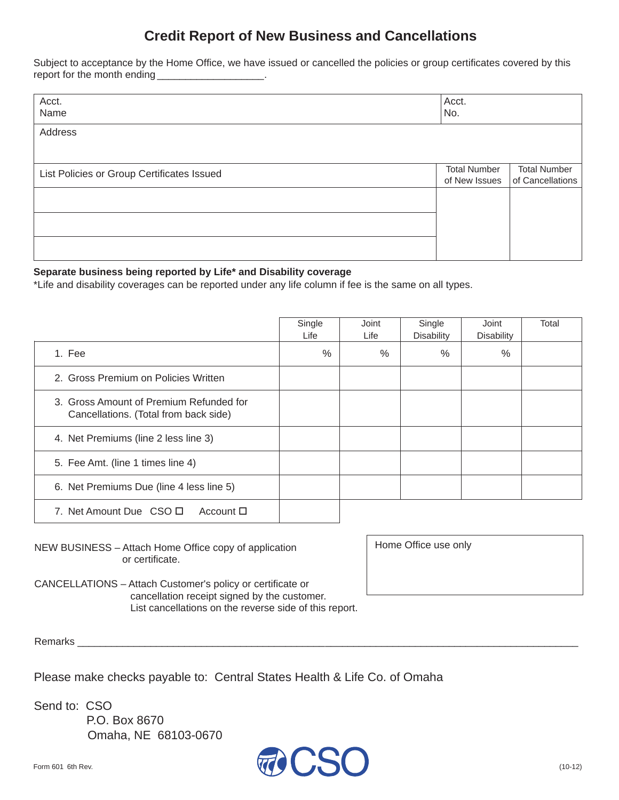## **Credit Report of New Business and Cancellations**

Subject to acceptance by the Home Office, we have issued or cancelled the policies or group certificates covered by this report for the month ending

| Acct.<br>No.                         |                                         |
|--------------------------------------|-----------------------------------------|
|                                      |                                         |
|                                      |                                         |
| <b>Total Number</b><br>of New Issues | <b>Total Number</b><br>of Cancellations |
|                                      |                                         |
|                                      |                                         |
|                                      |                                         |
|                                      |                                         |

## **Separate business being reported by Life\* and Disability coverage**

\*Life and disability coverages can be reported under any life column if fee is the same on all types.

|                                                                                  | Single<br>Life | Joint<br>Life | Single<br><b>Disability</b> | Joint<br><b>Disability</b> | Total |
|----------------------------------------------------------------------------------|----------------|---------------|-----------------------------|----------------------------|-------|
| 1. Fee                                                                           | %              | $\%$          | %                           | %                          |       |
| 2. Gross Premium on Policies Written                                             |                |               |                             |                            |       |
| 3. Gross Amount of Premium Refunded for<br>Cancellations. (Total from back side) |                |               |                             |                            |       |
| 4. Net Premiums (line 2 less line 3)                                             |                |               |                             |                            |       |
| 5. Fee Amt. (line 1 times line 4)                                                |                |               |                             |                            |       |
| 6. Net Premiums Due (line 4 less line 5)                                         |                |               |                             |                            |       |
| 7. Net Amount Due CSO $\Box$<br>Account $\Box$                                   |                |               |                             |                            |       |

NEW BUSINESS – Attach Home Office copy of application or certificate.

Home Office use only

CANCELLATIONS - Attach Customer's policy or certificate or cancellation receipt signed by the customer. List cancellations on the reverse side of this report.

Remarks **Exercise 2008** 

Please make checks payable to: Central States Health & Life Co. of Omaha

Send to: CSO P.O. Box 8670 Omaha, NE 68103-0670